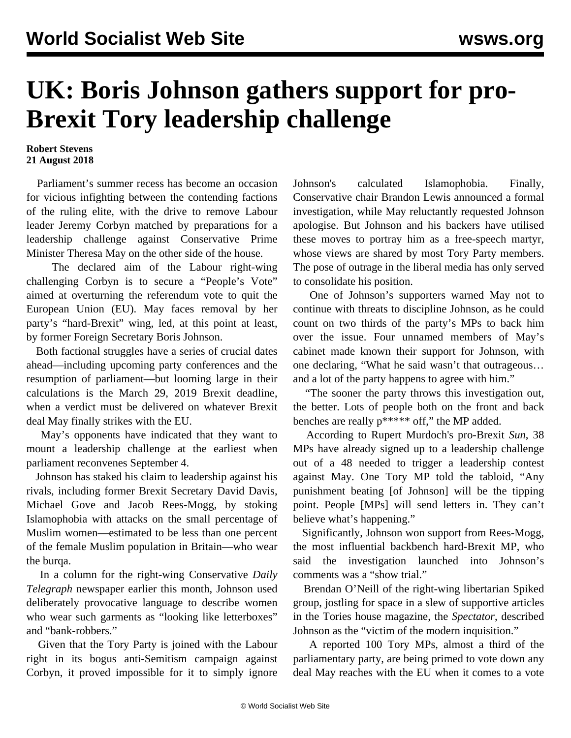## **UK: Boris Johnson gathers support for pro-Brexit Tory leadership challenge**

## **Robert Stevens 21 August 2018**

 Parliament's summer recess has become an occasion for vicious infighting between the contending factions of the ruling elite, with the drive to remove Labour leader Jeremy Corbyn matched by preparations for a leadership challenge against Conservative Prime Minister Theresa May on the other side of the house.

 The declared aim of the Labour right-wing challenging Corbyn is to secure a "People's Vote" aimed at overturning the referendum vote to quit the European Union (EU). May faces removal by her party's "hard-Brexit" wing, led, at this point at least, by former Foreign Secretary Boris Johnson.

 Both factional struggles have a series of crucial dates ahead—including upcoming party conferences and the resumption of parliament—but looming large in their calculations is the March 29, 2019 Brexit deadline, when a verdict must be delivered on whatever Brexit deal May finally strikes with the EU.

 May's opponents have indicated that they want to mount a leadership challenge at the earliest when parliament reconvenes September 4.

 Johnson has staked his claim to leadership against his rivals, including former Brexit Secretary David Davis, Michael Gove and Jacob Rees-Mogg, by stoking Islamophobia with attacks on the small percentage of Muslim women—estimated to be less than one percent of the female Muslim population in Britain—who wear the burqa.

 In a column for the right-wing Conservative *Daily Telegraph* newspaper earlier this month, Johnson used deliberately provocative language to describe women who wear such garments as "looking like letterboxes" and "bank-robbers."

 Given that the Tory Party is joined with the Labour right in its bogus anti-Semitism campaign against Corbyn, it proved impossible for it to simply ignore Johnson's calculated Islamophobia. Finally, Conservative chair Brandon Lewis announced a formal investigation, while May reluctantly requested Johnson apologise. But Johnson and his backers have utilised these moves to portray him as a free-speech martyr, whose views are shared by most Tory Party members. The pose of outrage in the liberal media has only served to consolidate his position.

 One of Johnson's supporters warned May not to continue with threats to discipline Johnson, as he could count on two thirds of the party's MPs to back him over the issue. Four unnamed members of May's cabinet made known their support for Johnson, with one declaring, "What he said wasn't that outrageous… and a lot of the party happens to agree with him."

 "The sooner the party throws this investigation out, the better. Lots of people both on the front and back benches are really p\*\*\*\*\* off," the MP added.

 According to Rupert Murdoch's pro-Brexit *Sun*, 38 MPs have already signed up to a leadership challenge out of a 48 needed to trigger a leadership contest against May. One Tory MP told the tabloid, "Any punishment beating [of Johnson] will be the tipping point. People [MPs] will send letters in. They can't believe what's happening."

 Significantly, Johnson won support from Rees-Mogg, the most influential backbench hard-Brexit MP, who said the investigation launched into Johnson's comments was a "show trial."

 Brendan O'Neill of the right-wing libertarian Spiked group, jostling for space in a slew of supportive articles in the Tories house magazine, the *Spectator*, described Johnson as the "victim of the modern inquisition."

 A reported 100 Tory MPs, almost a third of the parliamentary party, are being primed to vote down any deal May reaches with the EU when it comes to a vote